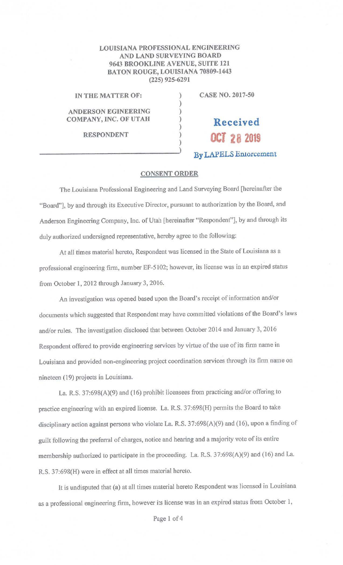## **LOUISIANA PROFESSIONAL ENGINEERING AND LAND SURVEYING BOARD 9643 BROOKLINE A VENUE, SUITE 121 BATON ROUGE, LOUISIANA 70809-1443 (225) 925-6291**

) ) ) ) ) ) )

**IN THE MATTER OF:** 

**ANDERSON EGINEERING COMPANY, INC. OF UTAH** 

**RESPONDENT** 

**CASE NO. 2017-50** 

**OCT 28 2019 By LAPELS Enforcement** 

**Received** 

## **CONSENT ORDER**

The Louisiana Professional Engineering and Land Surveying Board [hereinafter the "Board"], by and through its Executive Director, pursuant to authorization by the Board, and Anderson Engineering Company, Inc. of Utah [hereinafter "Respondent"], by and through its duly authorized undersigned representative, hereby agree to the following:

At all times material hereto, Respondent was licensed in the State of Louisiana as a professional engineering firm, number EF-5102; however, its license was in an expired status from October 1, 2012 through January 3, 2016.

An investigation was opened based upon the Board's receipt of information and/or documents which suggested that Respondent may have committed violations of the Board's laws and/or rules. The investigation disclosed that between October 2014 and January 3, 2016 Respondent offered to provide engineering services by virtue of the use of its firm name in Louisiana and provided non-engineering project coordination services through its firm name on nineteen (19) projects in Louisiana.

La. R.S. 37:698(A)(9) and (16) prohibit licensees from practicing and/or offering to practice engineering with an expired license. La. R.S. 37:698(H) permits the Board to take disciplinary action against persons who violate La. R.S. 37:698(A)(9) and (16), upon a finding of guilt following the preferral of charges, notice and heating and a majority vote of its entire membership authorized to participate in the proceeding. La. R.S. 37:698(A)(9) and (16) and La. R.S. 37:698(H) were in effect at all times material hereto.

It is undisputed that **(a)** at all times material hereto Respondent was licensed in Louisiana as a professional engineering firm, however its license was in an expired status from October 1,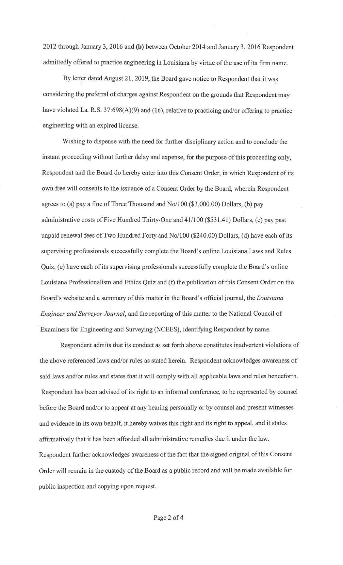2012 through January 3, 2016 and (b) between October 2014 and January 3, 2016 Respondent admittedly offered to practice engineering in Louisiana by virtue of the use of its firm name.

By letter dated August 21, 2019, the Board gave notice to Respondent that it was considering the preferral of charges against Respondent on the grounds that Respondent may have violated La. R.S. 37:698(A)(9) and (16), relative to practicing and/or offering to practice engineering with an expired license.

Wishing to dispense with the need for further disciplinary action and to conclude the instant proceeding without further delay and expense, for the purpose of this proceeding only, Respondent and the Board do hereby enter into this Consent Order, in which Respondent of its own free will consents to the issuance of a Consent Order by the Board, wherein Respondent agrees to (a) pay a fine of Three Thousand and No/100 (\$3,000.00) Dollars, (b) pay administrative costs of Five Hundred Thirty-One and 41/100 (\$531.41) Dollars, (c) pay past unpaid renewal fees of Two Hundred Forty and No/100 (\$240.00) Dollars, (d) have each of its supervising professionals successfully complete the Board's online Louisiana Laws and Rules Quiz, (e) have each of its supervising professionals successfully complete the Board's online Louisiana Professionalism and Ethics Quiz and (f) the publication of this Consent Order on the Board's website and a summary of this matter in the Board's official journal, the *Louisiana Engineer and Surveyor Journal,* and the reporting of this matter to the National Council of Examiners for Engineering and Surveying (NCEES), identifying Respondent by name.

Respondent admits that its conduct as set forth above constitutes inadvertent violations of the above referenced laws and/or rules as stated herein. Respondent acknowledges awareness of said laws and/or rules and states that it will comply with all applicable laws and rules henceforth. Respondent has been advised of its right to an informal conference, to be represented by counsel before the Board and/or to appear at any hearing personally or by counsel and present witnesses and evidence in its own behalf, it hereby waives this right and its right to appeal, and it states affirmatively that it has been afforded all administrative remedies due it under the law. Respondent further acknowledges awareness of the fact that the signed original of this Consent Order will remain in the custody of the Board as a public record and will be made available for public inspection and copying upon request.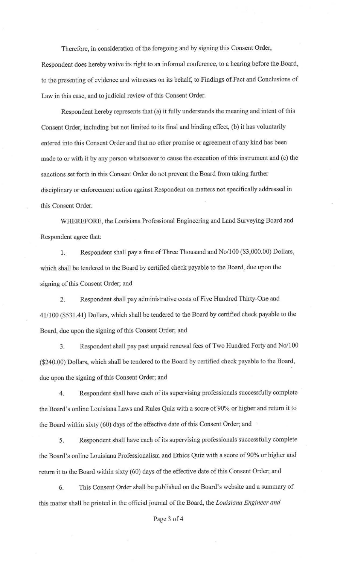Therefore, in consideration of the foregoing and by signing this Consent Order,

Respondent does hereby waive its right to an infonnal conference, to a hearing before the Board, to the presenting of evidence and witnesses on its behalf, to Findings of Fact and Conclusions of Law in this case, and to judicial review of this Consent Order.

Respondent hereby represents that (a) it fully understands the meaning and intent of this Consent Order, including but not limited to its final and binding effect, (b) it has voluntarily entered into this Consent Order and that no other promise or agreement of any kind has been made to or with it by any person whatsoever to cause the execution of this instrument and (c) the sanctions set forth in this Consent Order do not prevent the Board from taking further disciplinary or enforcement action against Respondent on matters not specifically addressed in this Consent Order.

WHEREFORE, the Louisiana Professional Engineering and Land Surveying Board and Respondent agree that:

1. Respondent shall pay a fine of Three Thousand and No/100 (\$3,000.00) Dollars, which shall be tendered to the Board by certified check payable to the Board, due upon the signing of this Consent Order; and

2. Respondent shall pay administrative costs of Five Hundred Thirty-One and 41/100 (\$531.41) Dollars, which shall be tendered to the Board by certified check payable to the Board, due upon the signing of this Consent Order; and

3. Respondent shall pay past unpaid renewal fees of Two Hundred Forty and No/100 (\$240.00) Dollars, which shall be tendered to the Board by certified check payable to the Board, due upon the signing of this Consent Order; and

4. Respondent shall have each of its supervising professionals successfully complete the Board's online Louisiana Laws and Rules Quiz with a score of 90% or higher and return it to the Board within sixty (60) days of the effective date of this Consent Order; and

5. Respondent shall have each of its supervising professionals successfully complete the Board's online Louisiana Professionalism and Ethics Quiz with a score of 90% or higher and return it to the Board within sixty (60) days of the effective date of this Consent Order; and

6. This Consent Order shall be published on the Board's website and a summary of this matter shall be printed in the official journal of the Board, the *Louisiana Engineer and* 

Page 3 of 4